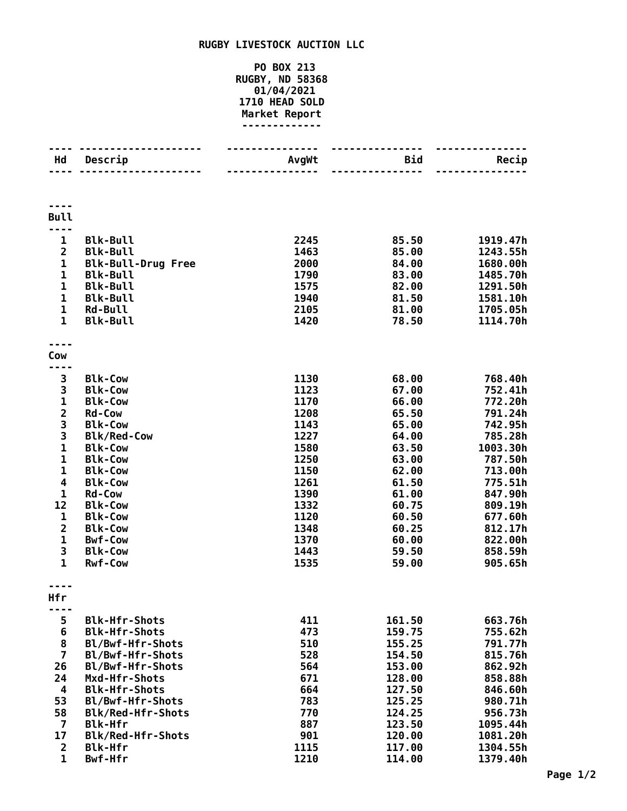## **RUGBY LIVESTOCK AUCTION LLC**

## **PO BOX 213 RUGBY, ND 58368 01/04/2021 HEAD SOLD Market Report -------------**

| Hd             | Descrip                         | AvgWt        | <b>Bid</b>     | Recip              |
|----------------|---------------------------------|--------------|----------------|--------------------|
|                |                                 |              |                |                    |
| <b>Bull</b>    |                                 |              |                |                    |
| $\mathbf{1}$   | <b>Blk-Bull</b>                 | 2245         | 85.50          | 1919.47h           |
| $\overline{2}$ | <b>Blk-Bull</b>                 | 1463         | 85.00          | 1243.55h           |
| $\mathbf{1}$   | <b>Blk-Bull-Drug Free</b>       | 2000         | 84.00          | 1680.00h           |
| $\mathbf 1$    | <b>Blk-Bull</b>                 | 1790         | 83.00          | 1485.70h           |
| $\mathbf{1}$   | <b>Blk-Bull</b>                 | 1575         | 82.00          | 1291.50h           |
| $\mathbf{1}$   | <b>Blk-Bull</b>                 | 1940         | 81.50          | 1581.10h           |
| $\mathbf{1}$   | <b>Rd-Bull</b>                  | 2105         | 81.00          | 1705.05h           |
| $\mathbf{1}$   | <b>Blk-Bull</b>                 | 1420         | 78.50          | 1114.70h           |
| Cow            |                                 |              |                |                    |
|                |                                 |              |                |                    |
| 3              | <b>Blk-Cow</b>                  | 1130         | 68.00          | 768.40h            |
| 3              | <b>Blk-Cow</b>                  | 1123         | 67.00          | 752.41h            |
| $\mathbf 1$    | <b>Blk-Cow</b><br><b>Rd-Cow</b> | 1170<br>1208 | 66.00<br>65.50 | 772.20h<br>791.24h |
| $\frac{2}{3}$  | <b>Blk-Cow</b>                  | 1143         | 65.00          | 742.95h            |
| 3              | <b>Blk/Red-Cow</b>              | 1227         | 64.00          | 785.28h            |
| $\mathbf{1}$   | <b>Blk-Cow</b>                  | 1580         | 63.50          | 1003.30h           |
| $\mathbf{1}$   | <b>Blk-Cow</b>                  | 1250         | 63.00          | 787.50h            |
| $\mathbf{1}$   | <b>Blk-Cow</b>                  | 1150         | 62.00          | 713.00h            |
| 4              | <b>Blk-Cow</b>                  | 1261         | 61.50          | 775.51h            |
| 1              | <b>Rd-Cow</b>                   | 1390         | 61.00          | 847.90h            |
| 12             | <b>Blk-Cow</b>                  | 1332         | 60.75          | 809.19h            |
| 1              | <b>Blk-Cow</b>                  | 1120         | 60.50          | 677.60h            |
| $\overline{2}$ | <b>Blk-Cow</b>                  | 1348         | 60.25          | 812.17h            |
| $\mathbf{1}$   | <b>Bwf-Cow</b>                  | 1370         | 60.00          | 822.00h            |
| 3              | <b>Blk-Cow</b>                  | 1443         | 59.50          | 858.59h            |
| $\mathbf{1}$   | <b>Rwf-Cow</b>                  | 1535         | 59.00          | 905.65h            |
| Hfr            |                                 |              |                |                    |
| 5              | <b>Blk-Hfr-Shots</b>            | 411          | 161.50         | 663.76h            |
| 6              | <b>Blk-Hfr-Shots</b>            | 473          | 159.75         | 755.62h            |
| 8              | Bl/Bwf-Hfr-Shots                | 510          | 155.25         | 791.77h            |
| $\overline{7}$ | Bl/Bwf-Hfr-Shots                | 528          | 154.50         | 815.76h            |
| 26             | Bl/Bwf-Hfr-Shots                | 564          | 153.00         | 862.92h            |
| 24             | Mxd-Hfr-Shots                   | 671          | 128.00         | 858.88h            |
| 4              | <b>Blk-Hfr-Shots</b>            | 664          | 127.50         | 846.60h            |
| 53             | Bl/Bwf-Hfr-Shots                | 783          | 125.25         | 980.71h            |
| 58             | <b>Blk/Red-Hfr-Shots</b>        | 770          | 124.25         | 956.73h            |
| 7              | <b>Blk-Hfr</b>                  | 887          | 123.50         | 1095.44h           |
| 17             | Blk/Red-Hfr-Shots               | 901          | 120.00         | 1081.20h           |
| $\overline{2}$ | <b>Blk-Hfr</b>                  | 1115         | 117.00         | 1304.55h           |
| $\mathbf{1}$   | Bwf-Hfr                         | 1210         | 114.00         | 1379.40h           |